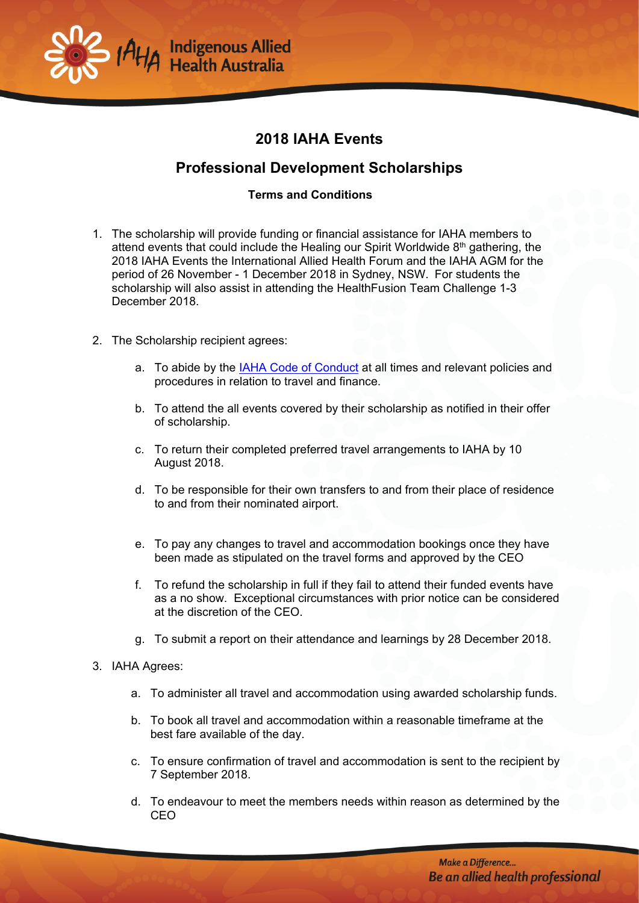

## **2018 IAHA Events**

## **Professional Development Scholarships**

## **Terms and Conditions**

- 1. The scholarship will provide funding or financial assistance for IAHA members to attend events that could include the Healing our Spirit Worldwide  $8<sup>th</sup>$  gathering, the 2018 IAHA Events the International Allied Health Forum and the IAHA AGM for the period of 26 November - 1 December 2018 in Sydney, NSW. For students the scholarship will also assist in attending the HealthFusion Team Challenge 1-3 December 2018.
- 2. The Scholarship recipient agrees:
	- a. To abide by the **IAHA Code of Conduct** at all times and relevant policies and procedures in relation to travel and finance.
	- b. To attend the all events covered by their scholarship as notified in their offer of scholarship.
	- c. To return their completed preferred travel arrangements to IAHA by 10 August 2018.
	- d. To be responsible for their own transfers to and from their place of residence to and from their nominated airport.
	- e. To pay any changes to travel and accommodation bookings once they have been made as stipulated on the travel forms and approved by the CEO
	- f. To refund the scholarship in full if they fail to attend their funded events have as a no show. Exceptional circumstances with prior notice can be considered at the discretion of the CEO.
	- g. To submit a report on their attendance and learnings by 28 December 2018.
- 3. IAHA Agrees:
	- a. To administer all travel and accommodation using awarded scholarship funds.
	- b. To book all travel and accommodation within a reasonable timeframe at the best fare available of the day.
	- c. To ensure confirmation of travel and accommodation is sent to the recipient by 7 September 2018.
	- d. To endeavour to meet the members needs within reason as determined by the CEO